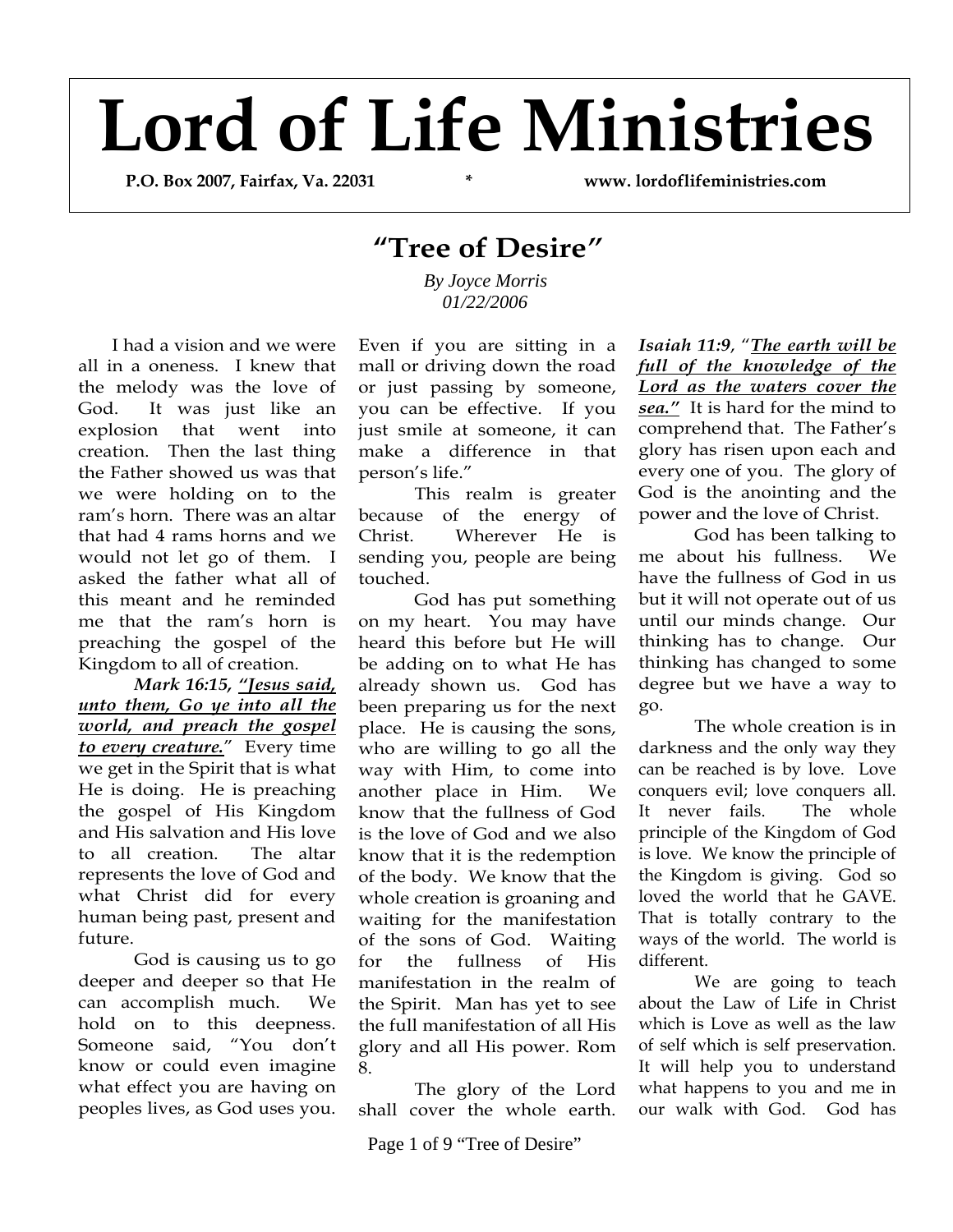## **Lord of Life Ministries**

 **P.O. Box 2007, Fairfax, Va. 22031 \* www. lordoflifeministries.com** 

## **"Tree of Desire***"*

 *By Joyce Morris 01/22/2006* 

I had a vision and we were all in a oneness. I knew that the melody was the love of God. It was just like an explosion that went into creation. Then the last thing the Father showed us was that we were holding on to the ram's horn. There was an altar that had 4 rams horns and we would not let go of them. I asked the father what all of this meant and he reminded me that the ram's horn is preaching the gospel of the Kingdom to all of creation.

*Mark 16:15, "Jesus said, unto them, Go ye into all the world, and preach the gospel to every creature.*" Every time we get in the Spirit that is what He is doing. He is preaching the gospel of His Kingdom and His salvation and His love to all creation. The altar represents the love of God and what Christ did for every human being past, present and future.

God is causing us to go deeper and deeper so that He can accomplish much. We hold on to this deepness. Someone said, "You don't know or could even imagine what effect you are having on peoples lives, as God uses you.

Even if you are sitting in a mall or driving down the road or just passing by someone, you can be effective. If you just smile at someone, it can make a difference in that person's life."

This realm is greater because of the energy of Christ. Wherever He is sending you, people are being touched.

God has put something on my heart. You may have heard this before but He will be adding on to what He has already shown us. God has been preparing us for the next place. He is causing the sons, who are willing to go all the way with Him, to come into another place in Him. We know that the fullness of God is the love of God and we also know that it is the redemption of the body. We know that the whole creation is groaning and waiting for the manifestation of the sons of God. Waiting for the fullness of His manifestation in the realm of the Spirit. Man has yet to see the full manifestation of all His glory and all His power. Rom 8.

The glory of the Lord shall cover the whole earth.

Page 1 of 9 "Tree of Desire"

*Isaiah 11:9*, "*The earth will be full of the knowledge of the Lord as the waters cover the sea."* It is hard for the mind to comprehend that. The Father's glory has risen upon each and every one of you. The glory of God is the anointing and the power and the love of Christ.

God has been talking to me about his fullness. We have the fullness of God in us but it will not operate out of us until our minds change. Our thinking has to change. Our thinking has changed to some degree but we have a way to go.

The whole creation is in darkness and the only way they can be reached is by love. Love conquers evil; love conquers all. It never fails. The whole principle of the Kingdom of God is love. We know the principle of the Kingdom is giving. God so loved the world that he GAVE. That is totally contrary to the ways of the world. The world is different.

We are going to teach about the Law of Life in Christ which is Love as well as the law of self which is self preservation. It will help you to understand what happens to you and me in our walk with God. God has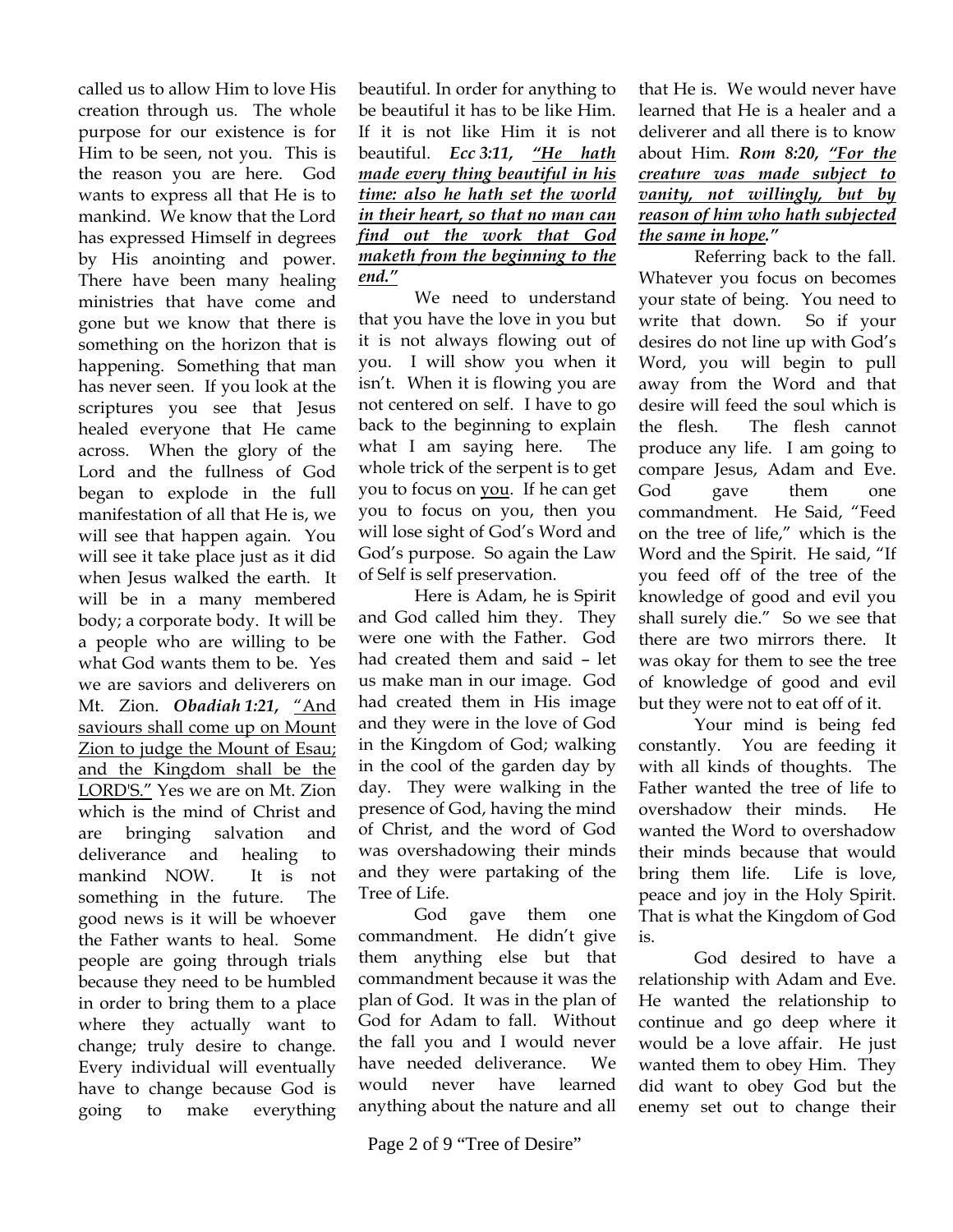called us to allow Him to love His creation through us. The whole purpose for our existence is for Him to be seen, not you. This is the reason you are here. God wants to express all that He is to mankind. We know that the Lord has expressed Himself in degrees by His anointing and power. There have been many healing ministries that have come and gone but we know that there is something on the horizon that is happening. Something that man has never seen. If you look at the scriptures you see that Jesus healed everyone that He came across. When the glory of the Lord and the fullness of God began to explode in the full manifestation of all that He is, we will see that happen again. You will see it take place just as it did when Jesus walked the earth. It will be in a many membered body; a corporate body. It will be a people who are willing to be what God wants them to be. Yes we are saviors and deliverers on Mt. Zion. *Obadiah 1:21,* "And saviours shall come up on Mount Zion to judge the Mount of Esau; and the Kingdom shall be the LORD'S." Yes we are on Mt. Zion which is the mind of Christ and are bringing salvation and deliverance and healing to mankind NOW. It is not something in the future. The good news is it will be whoever the Father wants to heal. Some people are going through trials because they need to be humbled in order to bring them to a place where they actually want to change; truly desire to change. Every individual will eventually have to change because God is going to make everything

beautiful. In order for anything to be beautiful it has to be like Him. If it is not like Him it is not beautiful. *Ecc 3:11, "He hath made every thing beautiful in his time: also he hath set the world in their heart, so that no man can find out the work that God maketh from the beginning to the end."*

We need to understand that you have the love in you but it is not always flowing out of you. I will show you when it isn't. When it is flowing you are not centered on self. I have to go back to the beginning to explain what I am saying here. The whole trick of the serpent is to get you to focus on you. If he can get you to focus on you, then you will lose sight of God's Word and God's purpose. So again the Law of Self is self preservation.

Here is Adam, he is Spirit and God called him they. They were one with the Father. God had created them and said – let us make man in our image. God had created them in His image and they were in the love of God in the Kingdom of God; walking in the cool of the garden day by day. They were walking in the presence of God, having the mind of Christ, and the word of God was overshadowing their minds and they were partaking of the Tree of Life.

God gave them one commandment. He didn't give them anything else but that commandment because it was the plan of God. It was in the plan of God for Adam to fall. Without the fall you and I would never have needed deliverance. We would never have learned anything about the nature and all

that He is. We would never have learned that He is a healer and a deliverer and all there is to know about Him. *Rom 8:20, "For the creature was made subject to vanity, not willingly, but by reason of him who hath subjected the same in hope."* 

Referring back to the fall. Whatever you focus on becomes your state of being. You need to write that down. So if your desires do not line up with God's Word, you will begin to pull away from the Word and that desire will feed the soul which is the flesh. The flesh cannot produce any life. I am going to compare Jesus, Adam and Eve. God gave them one commandment. He Said, "Feed on the tree of life," which is the Word and the Spirit. He said, "If you feed off of the tree of the knowledge of good and evil you shall surely die." So we see that there are two mirrors there. It was okay for them to see the tree of knowledge of good and evil but they were not to eat off of it.

Your mind is being fed constantly. You are feeding it with all kinds of thoughts. The Father wanted the tree of life to overshadow their minds. He wanted the Word to overshadow their minds because that would bring them life. Life is love, peace and joy in the Holy Spirit. That is what the Kingdom of God is.

God desired to have a relationship with Adam and Eve. He wanted the relationship to continue and go deep where it would be a love affair. He just wanted them to obey Him. They did want to obey God but the enemy set out to change their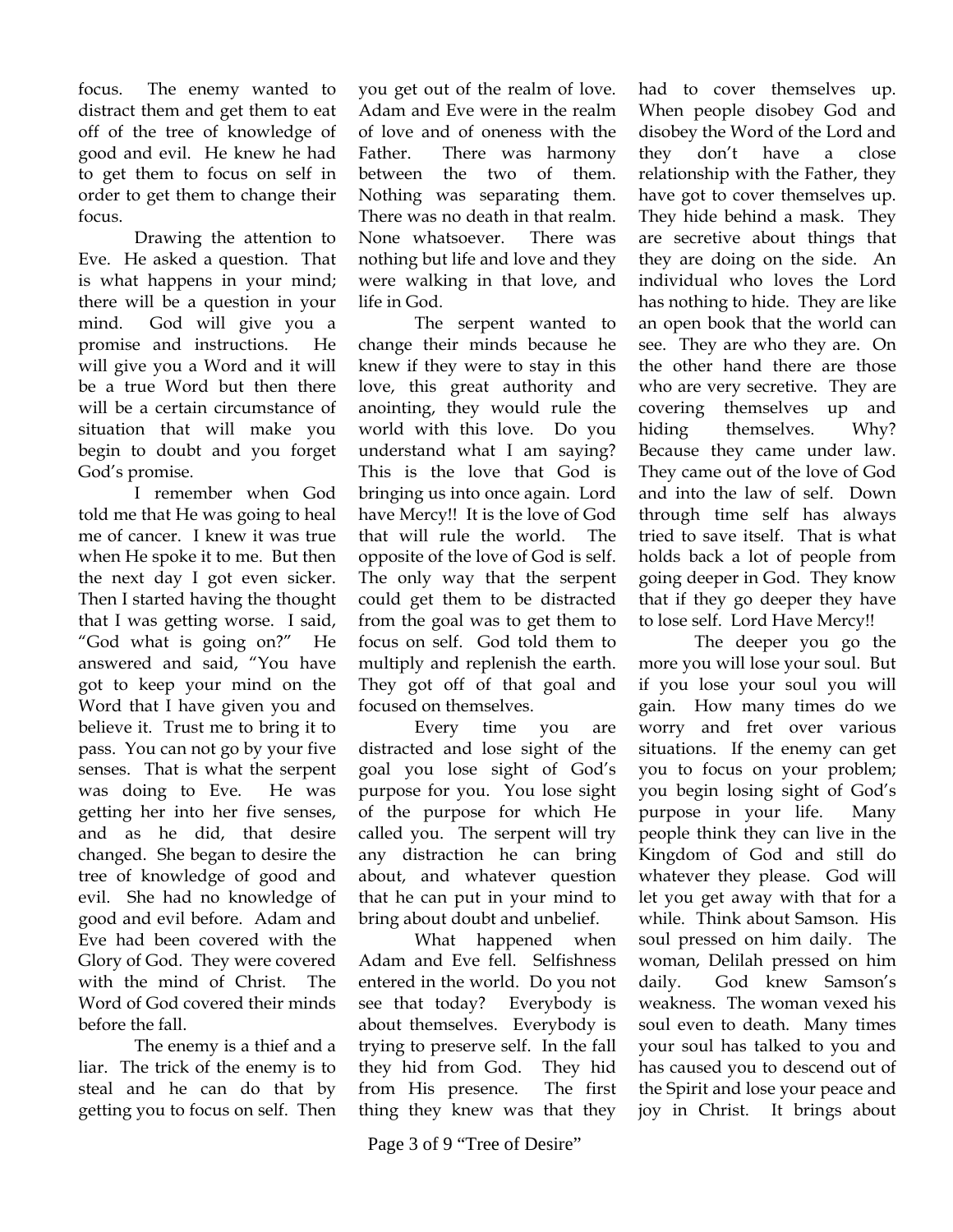focus. The enemy wanted to distract them and get them to eat off of the tree of knowledge of good and evil. He knew he had to get them to focus on self in order to get them to change their focus.

Drawing the attention to Eve. He asked a question. That is what happens in your mind; there will be a question in your mind. God will give you a promise and instructions. He will give you a Word and it will be a true Word but then there will be a certain circumstance of situation that will make you begin to doubt and you forget God's promise.

I remember when God told me that He was going to heal me of cancer. I knew it was true when He spoke it to me. But then the next day I got even sicker. Then I started having the thought that I was getting worse. I said, "God what is going on?" He answered and said, "You have got to keep your mind on the Word that I have given you and believe it. Trust me to bring it to pass. You can not go by your five senses. That is what the serpent was doing to Eve. He was getting her into her five senses, and as he did, that desire changed. She began to desire the tree of knowledge of good and evil. She had no knowledge of good and evil before. Adam and Eve had been covered with the Glory of God. They were covered with the mind of Christ. The Word of God covered their minds before the fall.

The enemy is a thief and a liar. The trick of the enemy is to steal and he can do that by getting you to focus on self. Then

you get out of the realm of love. Adam and Eve were in the realm of love and of oneness with the Father. There was harmony between the two of them. Nothing was separating them. There was no death in that realm. None whatsoever. There was nothing but life and love and they were walking in that love, and life in God.

The serpent wanted to change their minds because he knew if they were to stay in this love, this great authority and anointing, they would rule the world with this love. Do you understand what I am saying? This is the love that God is bringing us into once again. Lord have Mercy!! It is the love of God that will rule the world. The opposite of the love of God is self. The only way that the serpent could get them to be distracted from the goal was to get them to focus on self. God told them to multiply and replenish the earth. They got off of that goal and focused on themselves.

Every time you are distracted and lose sight of the goal you lose sight of God's purpose for you. You lose sight of the purpose for which He called you. The serpent will try any distraction he can bring about, and whatever question that he can put in your mind to bring about doubt and unbelief.

What happened when Adam and Eve fell. Selfishness entered in the world. Do you not see that today? Everybody is about themselves. Everybody is trying to preserve self. In the fall they hid from God. They hid from His presence. The first thing they knew was that they

Page 3 of 9 "Tree of Desire"

had to cover themselves up. When people disobey God and disobey the Word of the Lord and they don't have a close relationship with the Father, they have got to cover themselves up. They hide behind a mask. They are secretive about things that they are doing on the side. An individual who loves the Lord has nothing to hide. They are like an open book that the world can see. They are who they are. On the other hand there are those who are very secretive. They are covering themselves up and hiding themselves. Why? Because they came under law. They came out of the love of God and into the law of self. Down through time self has always tried to save itself. That is what holds back a lot of people from going deeper in God. They know that if they go deeper they have to lose self. Lord Have Mercy!!

The deeper you go the more you will lose your soul. But if you lose your soul you will gain. How many times do we worry and fret over various situations. If the enemy can get you to focus on your problem; you begin losing sight of God's purpose in your life. Many people think they can live in the Kingdom of God and still do whatever they please. God will let you get away with that for a while. Think about Samson. His soul pressed on him daily. The woman, Delilah pressed on him daily. God knew Samson's weakness. The woman vexed his soul even to death. Many times your soul has talked to you and has caused you to descend out of the Spirit and lose your peace and joy in Christ. It brings about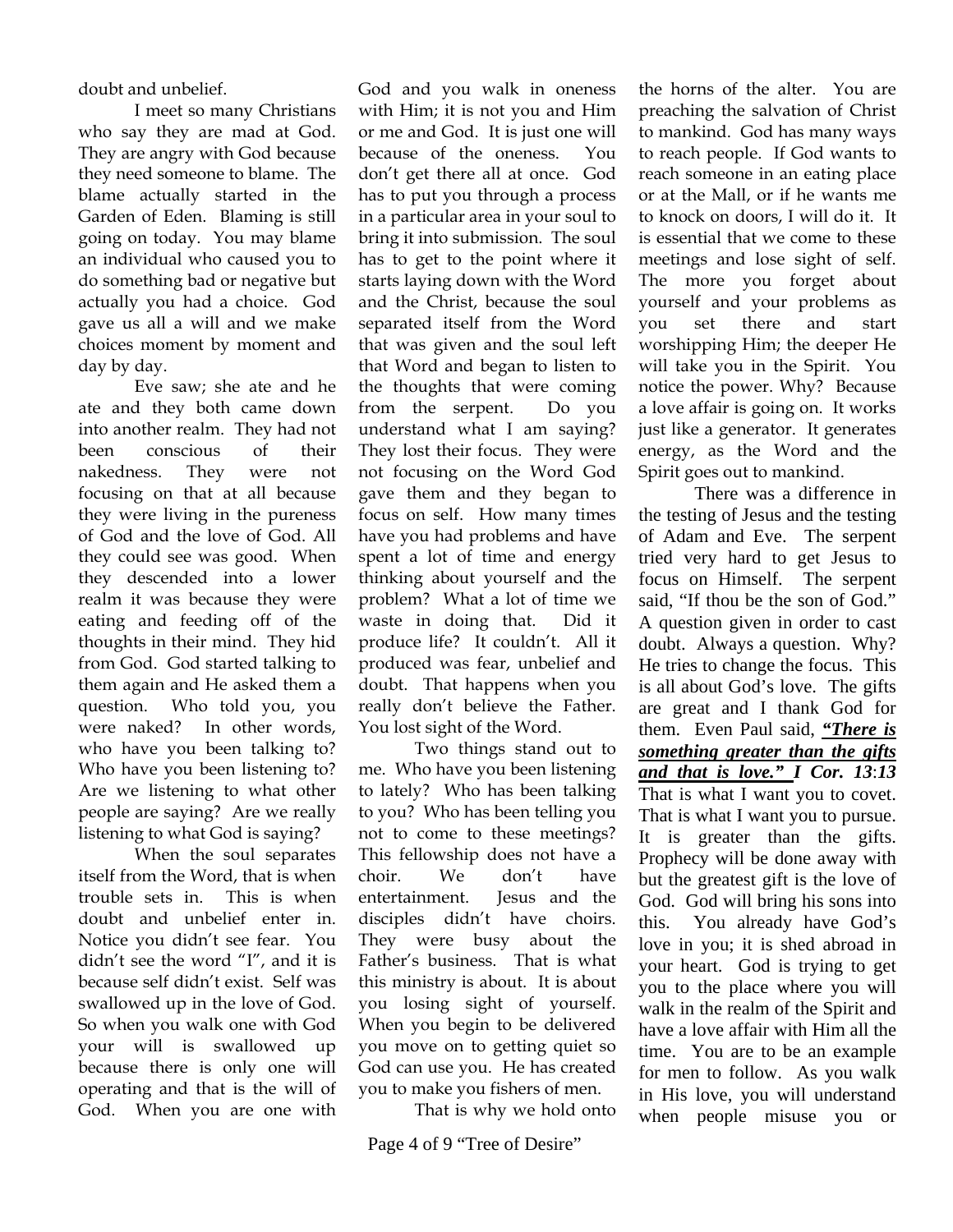doubt and unbelief.

I meet so many Christians who say they are mad at God. They are angry with God because they need someone to blame. The blame actually started in the Garden of Eden. Blaming is still going on today. You may blame an individual who caused you to do something bad or negative but actually you had a choice. God gave us all a will and we make choices moment by moment and day by day.

Eve saw; she ate and he ate and they both came down into another realm. They had not been conscious of their nakedness. They were not focusing on that at all because they were living in the pureness of God and the love of God. All they could see was good. When they descended into a lower realm it was because they were eating and feeding off of the thoughts in their mind. They hid from God. God started talking to them again and He asked them a question. Who told you, you were naked? In other words, who have you been talking to? Who have you been listening to? Are we listening to what other people are saying? Are we really listening to what God is saying?

When the soul separates itself from the Word, that is when trouble sets in. This is when doubt and unbelief enter in. Notice you didn't see fear. You didn't see the word "I", and it is because self didn't exist. Self was swallowed up in the love of God. So when you walk one with God your will is swallowed up because there is only one will operating and that is the will of God. When you are one with

God and you walk in oneness with Him; it is not you and Him or me and God. It is just one will because of the oneness. You don't get there all at once. God has to put you through a process in a particular area in your soul to bring it into submission. The soul has to get to the point where it starts laying down with the Word and the Christ, because the soul separated itself from the Word that was given and the soul left that Word and began to listen to the thoughts that were coming from the serpent. Do you understand what I am saying? They lost their focus. They were not focusing on the Word God gave them and they began to focus on self. How many times have you had problems and have spent a lot of time and energy thinking about yourself and the problem? What a lot of time we waste in doing that. Did it produce life? It couldn't. All it produced was fear, unbelief and doubt. That happens when you really don't believe the Father. You lost sight of the Word.

Two things stand out to me. Who have you been listening to lately? Who has been talking to you? Who has been telling you not to come to these meetings? This fellowship does not have a choir. We don't have entertainment. Jesus and the disciples didn't have choirs. They were busy about the Father's business. That is what this ministry is about. It is about you losing sight of yourself. When you begin to be delivered you move on to getting quiet so God can use you. He has created you to make you fishers of men.

That is why we hold onto

the horns of the alter. You are preaching the salvation of Christ to mankind. God has many ways to reach people. If God wants to reach someone in an eating place or at the Mall, or if he wants me to knock on doors, I will do it. It is essential that we come to these meetings and lose sight of self. The more you forget about yourself and your problems as you set there and start worshipping Him; the deeper He will take you in the Spirit. You notice the power. Why? Because a love affair is going on. It works just like a generator. It generates energy, as the Word and the Spirit goes out to mankind.

There was a difference in the testing of Jesus and the testing of Adam and Eve. The serpent tried very hard to get Jesus to focus on Himself. The serpent said, "If thou be the son of God." A question given in order to cast doubt. Always a question. Why? He tries to change the focus. This is all about God's love. The gifts are great and I thank God for them. Even Paul said, *"There is something greater than the gifts and that is love." I Cor. 13*:*13*  That is what I want you to covet. That is what I want you to pursue. It is greater than the gifts. Prophecy will be done away with but the greatest gift is the love of God. God will bring his sons into this. You already have God's love in you; it is shed abroad in your heart. God is trying to get you to the place where you will walk in the realm of the Spirit and have a love affair with Him all the time. You are to be an example for men to follow. As you walk in His love, you will understand when people misuse you or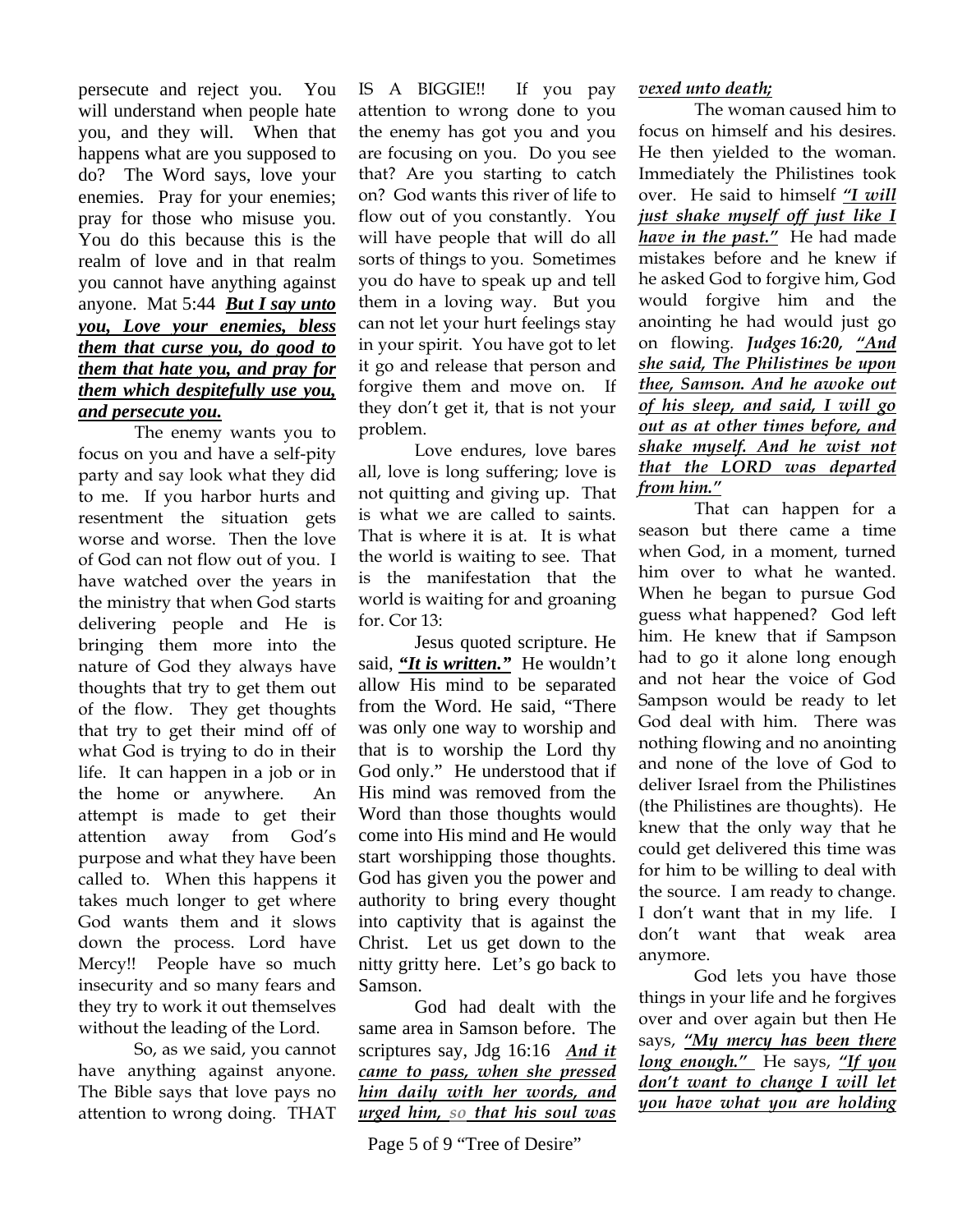persecute and reject you. You will understand when people hate you, and they will. When that happens what are you supposed to do? The Word says, love your enemies. Pray for your enemies; pray for those who misuse you. You do this because this is the realm of love and in that realm you cannot have anything against anyone. Mat 5:44 *But I say unto you, Love your enemies, bless them that curse you, do good to them that hate you, and pray for them which despitefully use you, and persecute you.*

The enemy wants you to focus on you and have a self-pity party and say look what they did to me. If you harbor hurts and resentment the situation gets worse and worse. Then the love of God can not flow out of you. I have watched over the years in the ministry that when God starts delivering people and He is bringing them more into the nature of God they always have thoughts that try to get them out of the flow. They get thoughts that try to get their mind off of what God is trying to do in their life. It can happen in a job or in the home or anywhere. An attempt is made to get their attention away from God's purpose and what they have been called to. When this happens it takes much longer to get where God wants them and it slows down the process. Lord have Mercy!! People have so much insecurity and so many fears and they try to work it out themselves without the leading of the Lord.

So, as we said, you cannot have anything against anyone. The Bible says that love pays no attention to wrong doing. THAT

IS A BIGGIE!! If you pay attention to wrong done to you the enemy has got you and you are focusing on you. Do you see that? Are you starting to catch on? God wants this river of life to flow out of you constantly. You will have people that will do all sorts of things to you. Sometimes you do have to speak up and tell them in a loving way. But you can not let your hurt feelings stay in your spirit. You have got to let it go and release that person and forgive them and move on. If they don't get it, that is not your problem.

Love endures, love bares all, love is long suffering; love is not quitting and giving up. That is what we are called to saints. That is where it is at. It is what the world is waiting to see. That is the manifestation that the world is waiting for and groaning for. Cor 13:

Jesus quoted scripture. He said, *"It is written."* He wouldn't allow His mind to be separated from the Word. He said, "There was only one way to worship and that is to worship the Lord thy God only." He understood that if His mind was removed from the Word than those thoughts would come into His mind and He would start worshipping those thoughts. God has given you the power and authority to bring every thought into captivity that is against the Christ. Let us get down to the nitty gritty here. Let's go back to Samson.

God had dealt with the same area in Samson before. The scriptures say, Jdg 16:16 *And it came to pass, when she pressed him daily with her words, and urged him, so that his soul was* 

Page 5 of 9 "Tree of Desire"

## *vexed unto death;*

The woman caused him to focus on himself and his desires. He then yielded to the woman. Immediately the Philistines took over. He said to himself *"I will just shake myself off just like I have in the past."* He had made mistakes before and he knew if he asked God to forgive him, God would forgive him and the anointing he had would just go on flowing. *Judges 16:20, "And she said, The Philistines be upon thee, Samson. And he awoke out of his sleep, and said, I will go out as at other times before, and shake myself. And he wist not that the LORD was departed from him."*

That can happen for a season but there came a time when God, in a moment, turned him over to what he wanted. When he began to pursue God guess what happened? God left him. He knew that if Sampson had to go it alone long enough and not hear the voice of God Sampson would be ready to let God deal with him. There was nothing flowing and no anointing and none of the love of God to deliver Israel from the Philistines (the Philistines are thoughts). He knew that the only way that he could get delivered this time was for him to be willing to deal with the source. I am ready to change. I don't want that in my life. I don't want that weak area anymore.

God lets you have those things in your life and he forgives over and over again but then He says, *"My mercy has been there long enough."* He says, *"If you don't want to change I will let you have what you are holding*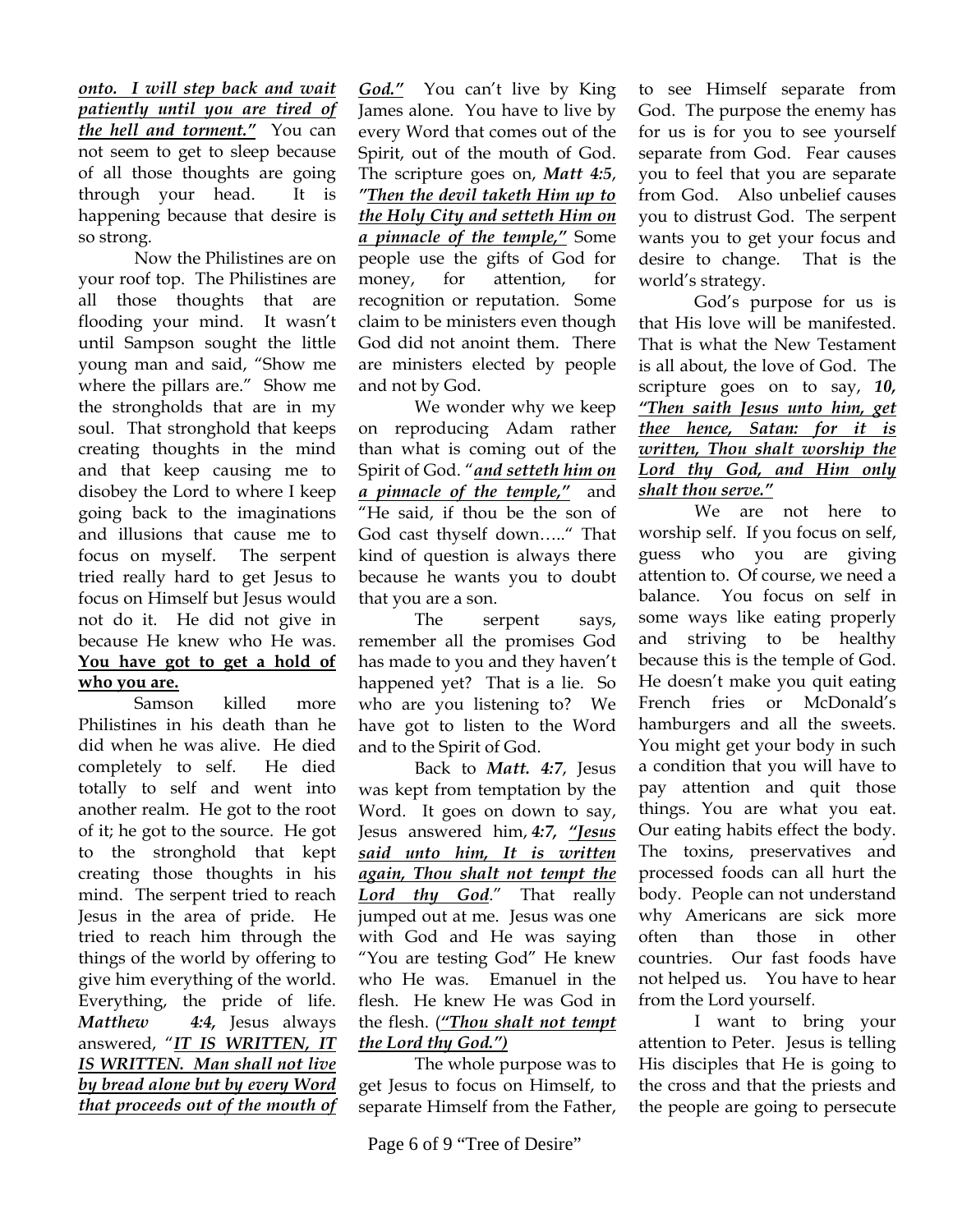*onto. I will step back and wait patiently until you are tired of the hell and torment."* You can not seem to get to sleep because of all those thoughts are going through your head. It is happening because that desire is so strong.

Now the Philistines are on your roof top. The Philistines are all those thoughts that are flooding your mind. It wasn't until Sampson sought the little young man and said, "Show me where the pillars are." Show me the strongholds that are in my soul. That stronghold that keeps creating thoughts in the mind and that keep causing me to disobey the Lord to where I keep going back to the imaginations and illusions that cause me to focus on myself. The serpent tried really hard to get Jesus to focus on Himself but Jesus would not do it. He did not give in because He knew who He was. **You have got to get a hold of who you are.**

Samson killed more Philistines in his death than he did when he was alive. He died completely to self. He died totally to self and went into another realm. He got to the root of it; he got to the source. He got to the stronghold that kept creating those thoughts in his mind. The serpent tried to reach Jesus in the area of pride. He tried to reach him through the things of the world by offering to give him everything of the world. Everything, the pride of life. *Matthew 4:4,* Jesus always answered, "*IT IS WRITTEN, IT IS WRITTEN. Man shall not live by bread alone but by every Word that proceeds out of the mouth of* 

*God."* You can't live by King James alone. You have to live by every Word that comes out of the Spirit, out of the mouth of God. The scripture goes on, *Matt 4:5*, *"Then the devil taketh Him up to the Holy City and setteth Him on a pinnacle of the temple,"* Some people use the gifts of God for money, for attention, for recognition or reputation. Some claim to be ministers even though God did not anoint them. There are ministers elected by people and not by God.

We wonder why we keep on reproducing Adam rather than what is coming out of the Spirit of God. "*and setteth him on a pinnacle of the temple,"* and "He said, if thou be the son of God cast thyself down….." That kind of question is always there because he wants you to doubt that you are a son.

The serpent says, remember all the promises God has made to you and they haven't happened yet? That is a lie. So who are you listening to? We have got to listen to the Word and to the Spirit of God.

Back to *Matt. 4:7*, Jesus was kept from temptation by the Word. It goes on down to say, Jesus answered him, *4:7, "Jesus said unto him, It is written again, Thou shalt not tempt the Lord thy God*." That really jumped out at me. Jesus was one with God and He was saying "You are testing God" He knew who He was. Emanuel in the flesh. He knew He was God in the flesh. (*"Thou shalt not tempt the Lord thy God.")*

The whole purpose was to get Jesus to focus on Himself, to separate Himself from the Father,

to see Himself separate from God. The purpose the enemy has for us is for you to see yourself separate from God. Fear causes you to feel that you are separate from God. Also unbelief causes you to distrust God. The serpent wants you to get your focus and desire to change. That is the world's strategy.

God's purpose for us is that His love will be manifested. That is what the New Testament is all about, the love of God. The scripture goes on to say, *10, "Then saith Jesus unto him, get thee hence, Satan: for it is written, Thou shalt worship the Lord thy God, and Him only shalt thou serve."*

We are not here to worship self. If you focus on self, guess who you are giving attention to. Of course, we need a balance. You focus on self in some ways like eating properly and striving to be healthy because this is the temple of God. He doesn't make you quit eating French fries or McDonald's hamburgers and all the sweets. You might get your body in such a condition that you will have to pay attention and quit those things. You are what you eat. Our eating habits effect the body. The toxins, preservatives and processed foods can all hurt the body. People can not understand why Americans are sick more often than those in other countries. Our fast foods have not helped us. You have to hear from the Lord yourself.

I want to bring your attention to Peter. Jesus is telling His disciples that He is going to the cross and that the priests and the people are going to persecute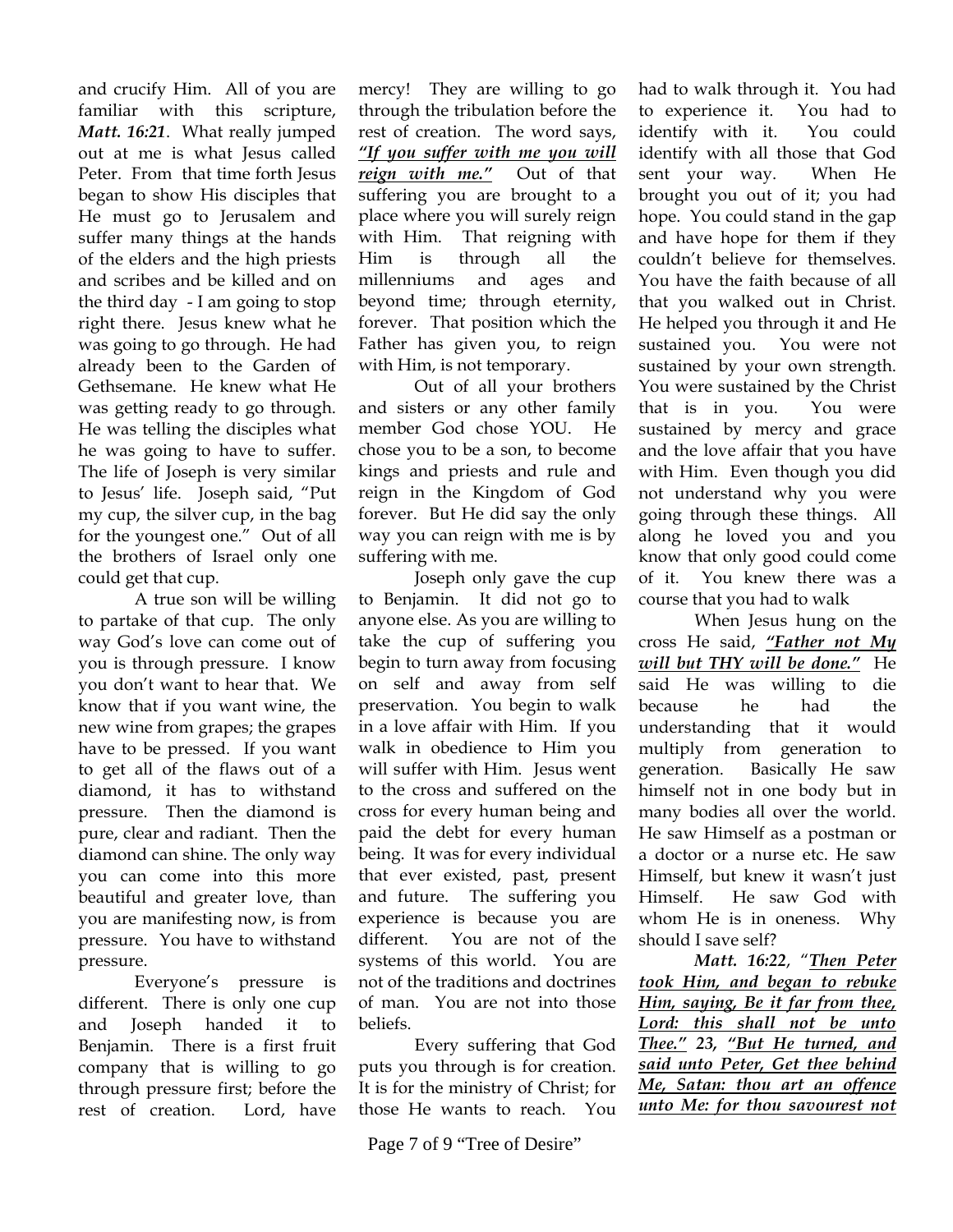and crucify Him. All of you are familiar with this scripture, *Matt. 16:21*. What really jumped out at me is what Jesus called Peter. From that time forth Jesus began to show His disciples that He must go to Jerusalem and suffer many things at the hands of the elders and the high priests and scribes and be killed and on the third day - I am going to stop right there. Jesus knew what he was going to go through. He had already been to the Garden of Gethsemane. He knew what He was getting ready to go through. He was telling the disciples what he was going to have to suffer. The life of Joseph is very similar to Jesus' life. Joseph said, "Put my cup, the silver cup, in the bag for the youngest one." Out of all the brothers of Israel only one could get that cup.

A true son will be willing to partake of that cup. The only way God's love can come out of you is through pressure. I know you don't want to hear that. We know that if you want wine, the new wine from grapes; the grapes have to be pressed. If you want to get all of the flaws out of a diamond, it has to withstand pressure. Then the diamond is pure, clear and radiant. Then the diamond can shine. The only way you can come into this more beautiful and greater love, than you are manifesting now, is from pressure. You have to withstand pressure.

Everyone's pressure is different. There is only one cup and Joseph handed it to Benjamin. There is a first fruit company that is willing to go through pressure first; before the rest of creation. Lord, have

mercy! They are willing to go through the tribulation before the rest of creation. The word says, *"If you suffer with me you will reign with me."* Out of that suffering you are brought to a place where you will surely reign with Him. That reigning with Him is through all the millenniums and ages and beyond time; through eternity, forever. That position which the Father has given you, to reign with Him, is not temporary.

Out of all your brothers and sisters or any other family member God chose YOU. He chose you to be a son, to become kings and priests and rule and reign in the Kingdom of God forever. But He did say the only way you can reign with me is by suffering with me.

Joseph only gave the cup to Benjamin. It did not go to anyone else. As you are willing to take the cup of suffering you begin to turn away from focusing on self and away from self preservation. You begin to walk in a love affair with Him. If you walk in obedience to Him you will suffer with Him. Jesus went to the cross and suffered on the cross for every human being and paid the debt for every human being. It was for every individual that ever existed, past, present and future. The suffering you experience is because you are different. You are not of the systems of this world. You are not of the traditions and doctrines of man. You are not into those beliefs.

Every suffering that God puts you through is for creation. It is for the ministry of Christ; for those He wants to reach. You

Page 7 of 9 "Tree of Desire"

had to walk through it. You had to experience it. You had to identify with it. You could identify with all those that God sent your way. When He brought you out of it; you had hope. You could stand in the gap and have hope for them if they couldn't believe for themselves. You have the faith because of all that you walked out in Christ. He helped you through it and He sustained you. You were not sustained by your own strength. You were sustained by the Christ that is in you. You were sustained by mercy and grace and the love affair that you have with Him. Even though you did not understand why you were going through these things. All along he loved you and you know that only good could come of it. You knew there was a course that you had to walk

When Jesus hung on the cross He said, *"Father not My will but THY will be done."* He said He was willing to die because he had the understanding that it would multiply from generation to generation. Basically He saw himself not in one body but in many bodies all over the world. He saw Himself as a postman or a doctor or a nurse etc. He saw Himself, but knew it wasn't just Himself. He saw God with whom He is in oneness. Why should I save self?

*Matt. 16:22*, "*Then Peter took Him, and began to rebuke Him, saying, Be it far from thee, Lord: this shall not be unto Thee." 23, "But He turned, and said unto Peter, Get thee behind Me, Satan: thou art an offence unto Me: for thou savourest not*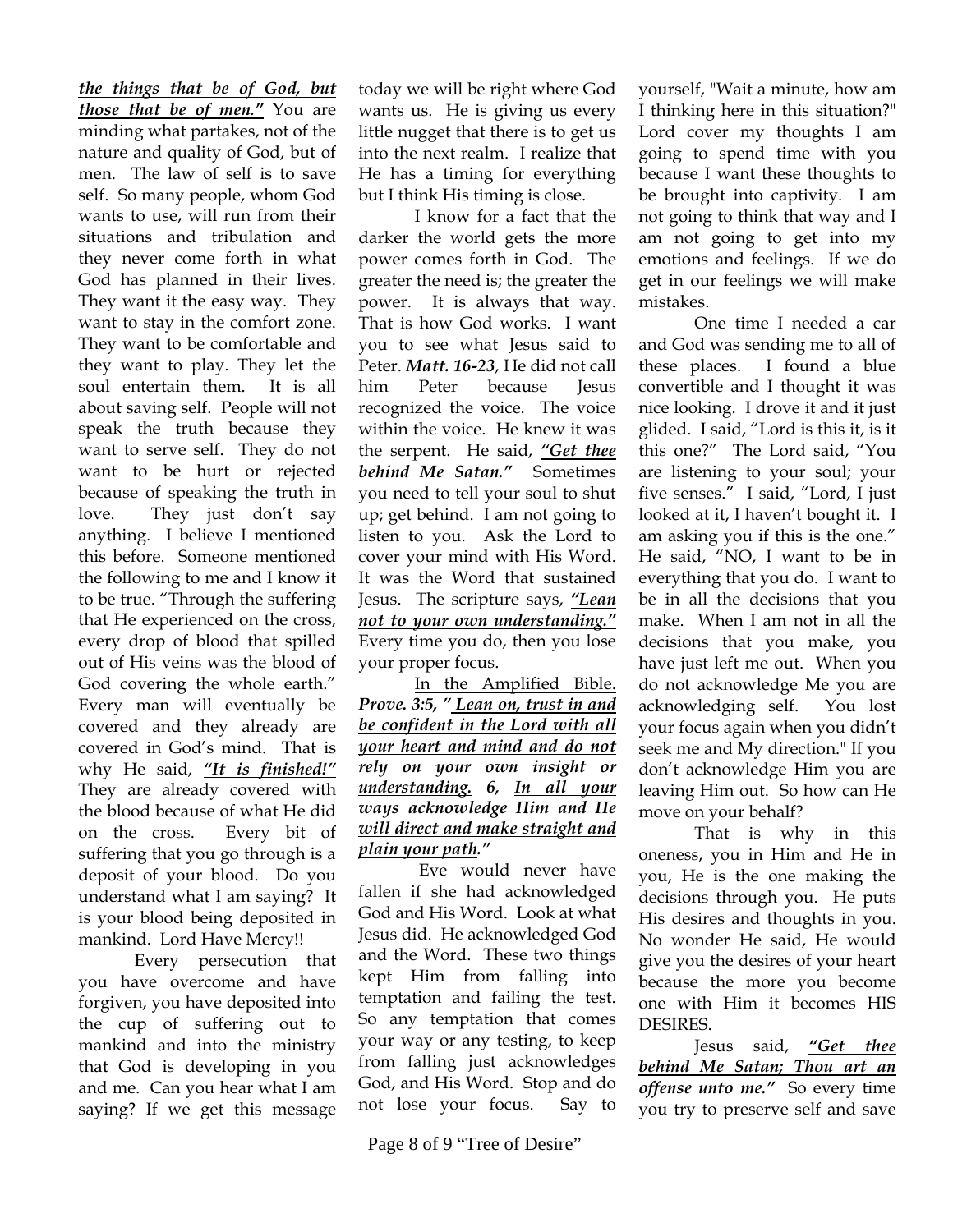*the things that be of God, but those that be of men."* You are minding what partakes, not of the nature and quality of God, but of men. The law of self is to save self. So many people, whom God wants to use, will run from their situations and tribulation and they never come forth in what God has planned in their lives. They want it the easy way. They want to stay in the comfort zone. They want to be comfortable and they want to play. They let the soul entertain them. It is all about saving self. People will not speak the truth because they want to serve self. They do not want to be hurt or rejected because of speaking the truth in love. They just don't say anything. I believe I mentioned this before. Someone mentioned the following to me and I know it to be true. "Through the suffering that He experienced on the cross, every drop of blood that spilled out of His veins was the blood of God covering the whole earth." Every man will eventually be covered and they already are covered in God's mind. That is why He said, *"It is finished!"* They are already covered with the blood because of what He did on the cross. Every bit of suffering that you go through is a deposit of your blood. Do you understand what I am saying? It is your blood being deposited in mankind. Lord Have Mercy!!

Every persecution that you have overcome and have forgiven, you have deposited into the cup of suffering out to mankind and into the ministry that God is developing in you and me. Can you hear what I am saying? If we get this message

today we will be right where God wants us. He is giving us every little nugget that there is to get us into the next realm. I realize that He has a timing for everything but I think His timing is close.

I know for a fact that the darker the world gets the more power comes forth in God. The greater the need is; the greater the power. It is always that way. That is how God works. I want you to see what Jesus said to Peter. *Matt. 16-23*, He did not call him Peter because Jesus recognized the voice. The voice within the voice. He knew it was the serpent. He said, *"Get thee behind Me Satan."* Sometimes you need to tell your soul to shut up; get behind. I am not going to listen to you. Ask the Lord to cover your mind with His Word. It was the Word that sustained Jesus. The scripture says, *"Lean not to your own understanding."* Every time you do, then you lose your proper focus.

In the Amplified Bible. *Prove. 3:5, " Lean on, trust in and be confident in the Lord with all your heart and mind and do not rely on your own insight or understanding. 6, In all your ways acknowledge Him and He will direct and make straight and plain your path."* 

 Eve would never have fallen if she had acknowledged God and His Word. Look at what Jesus did. He acknowledged God and the Word. These two things kept Him from falling into temptation and failing the test. So any temptation that comes your way or any testing, to keep from falling just acknowledges God, and His Word. Stop and do not lose your focus. Say to yourself, "Wait a minute, how am I thinking here in this situation?" Lord cover my thoughts I am going to spend time with you because I want these thoughts to be brought into captivity. I am not going to think that way and I am not going to get into my emotions and feelings. If we do get in our feelings we will make mistakes.

One time I needed a car and God was sending me to all of these places. I found a blue convertible and I thought it was nice looking. I drove it and it just glided. I said, "Lord is this it, is it this one?" The Lord said, "You are listening to your soul; your five senses." I said, "Lord, I just looked at it, I haven't bought it. I am asking you if this is the one." He said, "NO, I want to be in everything that you do. I want to be in all the decisions that you make. When I am not in all the decisions that you make, you have just left me out. When you do not acknowledge Me you are acknowledging self. You lost your focus again when you didn't seek me and My direction." If you don't acknowledge Him you are leaving Him out. So how can He move on your behalf?

That is why in this oneness, you in Him and He in you, He is the one making the decisions through you. He puts His desires and thoughts in you. No wonder He said, He would give you the desires of your heart because the more you become one with Him it becomes HIS DESIRES.

Jesus said, *"Get thee behind Me Satan; Thou art an offense unto me."* So every time you try to preserve self and save